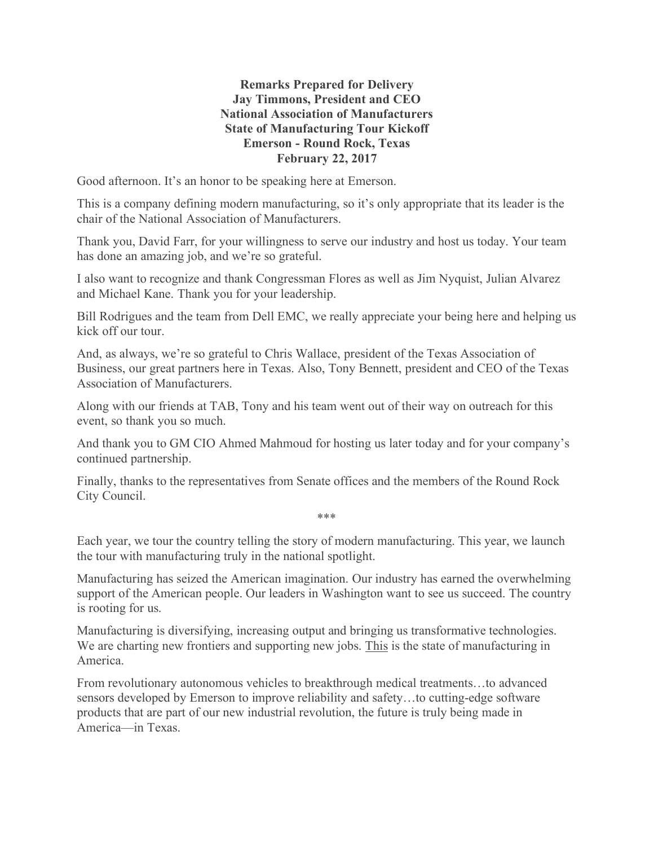## **Remarks Prepared for Delivery Jay Timmons, President and CEO National Association of Manufacturers State of Manufacturing Tour Kickoff Emerson - Round Rock, Texas February 22, 2017**

Good afternoon. It's an honor to be speaking here at Emerson.

This is a company defining modern manufacturing, so it's only appropriate that its leader is the chair of the National Association of Manufacturers.

Thank you, David Farr, for your willingness to serve our industry and host us today. Your team has done an amazing job, and we're so grateful.

I also want to recognize and thank Congressman Flores as well as Jim Nyquist, Julian Alvarez and Michael Kane. Thank you for your leadership.

Bill Rodrigues and the team from Dell EMC, we really appreciate your being here and helping us kick off our tour.

And, as always, we're so grateful to Chris Wallace, president of the Texas Association of Business, our great partners here in Texas. Also, Tony Bennett, president and CEO of the Texas Association of Manufacturers.

Along with our friends at TAB, Tony and his team went out of their way on outreach for this event, so thank you so much.

And thank you to GM CIO Ahmed Mahmoud for hosting us later today and for your company's continued partnership.

Finally, thanks to the representatives from Senate offices and the members of the Round Rock City Council.

Each year, we tour the country telling the story of modern manufacturing. This year, we launch the tour with manufacturing truly in the national spotlight.

\*\*\*

Manufacturing has seized the American imagination. Our industry has earned the overwhelming support of the American people. Our leaders in Washington want to see us succeed. The country is rooting for us.

Manufacturing is diversifying, increasing output and bringing us transformative technologies. We are charting new frontiers and supporting new jobs. This is the state of manufacturing in America.

From revolutionary autonomous vehicles to breakthrough medical treatments…to advanced sensors developed by Emerson to improve reliability and safety…to cutting-edge software products that are part of our new industrial revolution, the future is truly being made in America—in Texas.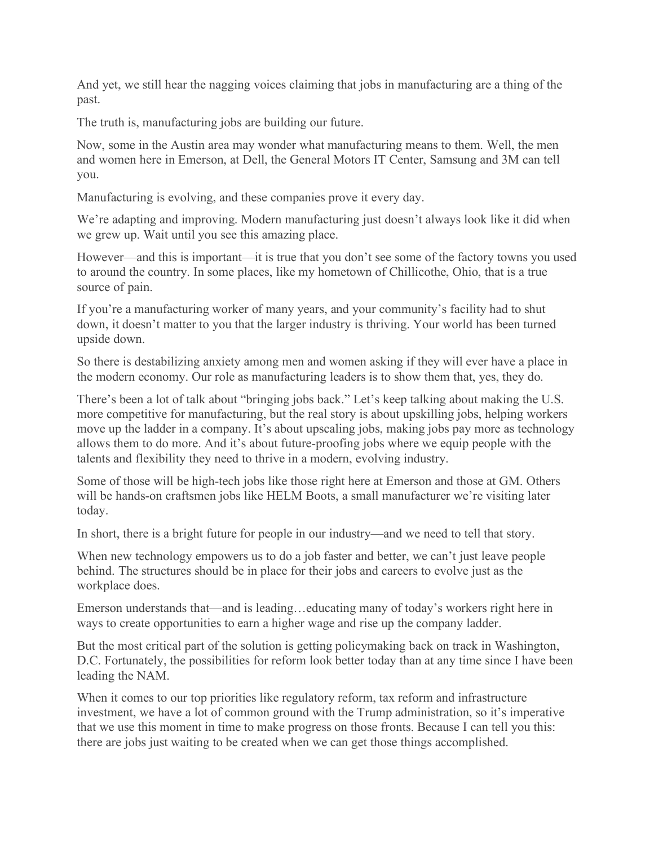And yet, we still hear the nagging voices claiming that jobs in manufacturing are a thing of the past.

The truth is, manufacturing jobs are building our future.

Now, some in the Austin area may wonder what manufacturing means to them. Well, the men and women here in Emerson, at Dell, the General Motors IT Center, Samsung and 3M can tell you.

Manufacturing is evolving, and these companies prove it every day.

We're adapting and improving. Modern manufacturing just doesn't always look like it did when we grew up. Wait until you see this amazing place.

However—and this is important—it is true that you don't see some of the factory towns you used to around the country. In some places, like my hometown of Chillicothe, Ohio, that is a true source of pain.

If you're a manufacturing worker of many years, and your community's facility had to shut down, it doesn't matter to you that the larger industry is thriving. Your world has been turned upside down.

So there is destabilizing anxiety among men and women asking if they will ever have a place in the modern economy. Our role as manufacturing leaders is to show them that, yes, they do.

There's been a lot of talk about "bringing jobs back." Let's keep talking about making the U.S. more competitive for manufacturing, but the real story is about upskilling jobs, helping workers move up the ladder in a company. It's about upscaling jobs, making jobs pay more as technology allows them to do more. And it's about future-proofing jobs where we equip people with the talents and flexibility they need to thrive in a modern, evolving industry.

Some of those will be high-tech jobs like those right here at Emerson and those at GM. Others will be hands-on craftsmen jobs like HELM Boots, a small manufacturer we're visiting later today.

In short, there is a bright future for people in our industry—and we need to tell that story.

When new technology empowers us to do a job faster and better, we can't just leave people behind. The structures should be in place for their jobs and careers to evolve just as the workplace does.

Emerson understands that—and is leading…educating many of today's workers right here in ways to create opportunities to earn a higher wage and rise up the company ladder.

But the most critical part of the solution is getting policymaking back on track in Washington, D.C. Fortunately, the possibilities for reform look better today than at any time since I have been leading the NAM.

When it comes to our top priorities like regulatory reform, tax reform and infrastructure investment, we have a lot of common ground with the Trump administration, so it's imperative that we use this moment in time to make progress on those fronts. Because I can tell you this: there are jobs just waiting to be created when we can get those things accomplished.